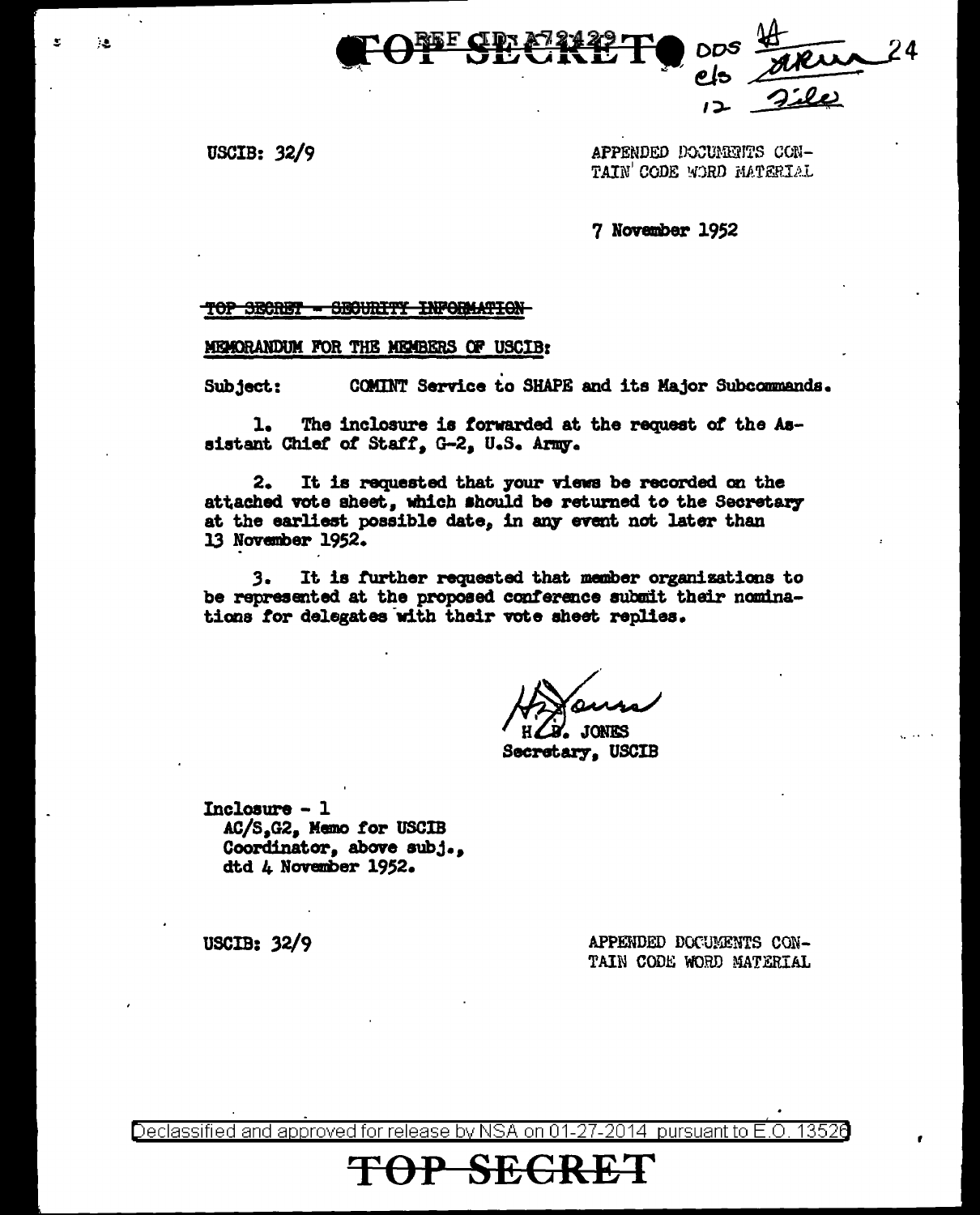

USCIB:  $32/9$ 

 $\lambda$  .

APPENDED DOCUMENTS CON-TAIN' CODE WORD MATERIAL

7 November 1952

TOP SECRET - SECURITY INFORMATION

MEMORANDUM FOR THE MEMBERS OF USCIB:

COMINT Service to SHAPE and its Major Subcommands. Subject:

The inclosure is forwarded at the request of the As-1. sistant Chief of Staff, G-2, U.S. Army.

It is requested that your views be recorded on the 2. attached vote sheet, which should be returned to the Secretary at the earliest possible date, in any event not later than 13 November 1952.

It is further requested that member organizations to 3. be represented at the proposed conference submit their nominations for delegates with their vote sheet replies.

**JONES** 

Secretary, USCIB

Inclosure - 1 AC/S.G2, Memo for USCIB Coordinator, above subj., dtd 4 November 1952.

> APPENDED DOCUMENTS CON-TAIN CODE WORD MATERIAL

USCIB:  $32/9$ 

Declassified and approved for release by NSA on 01-27-2014 pursuant to E.O. 13526

<del>SEGRE</del>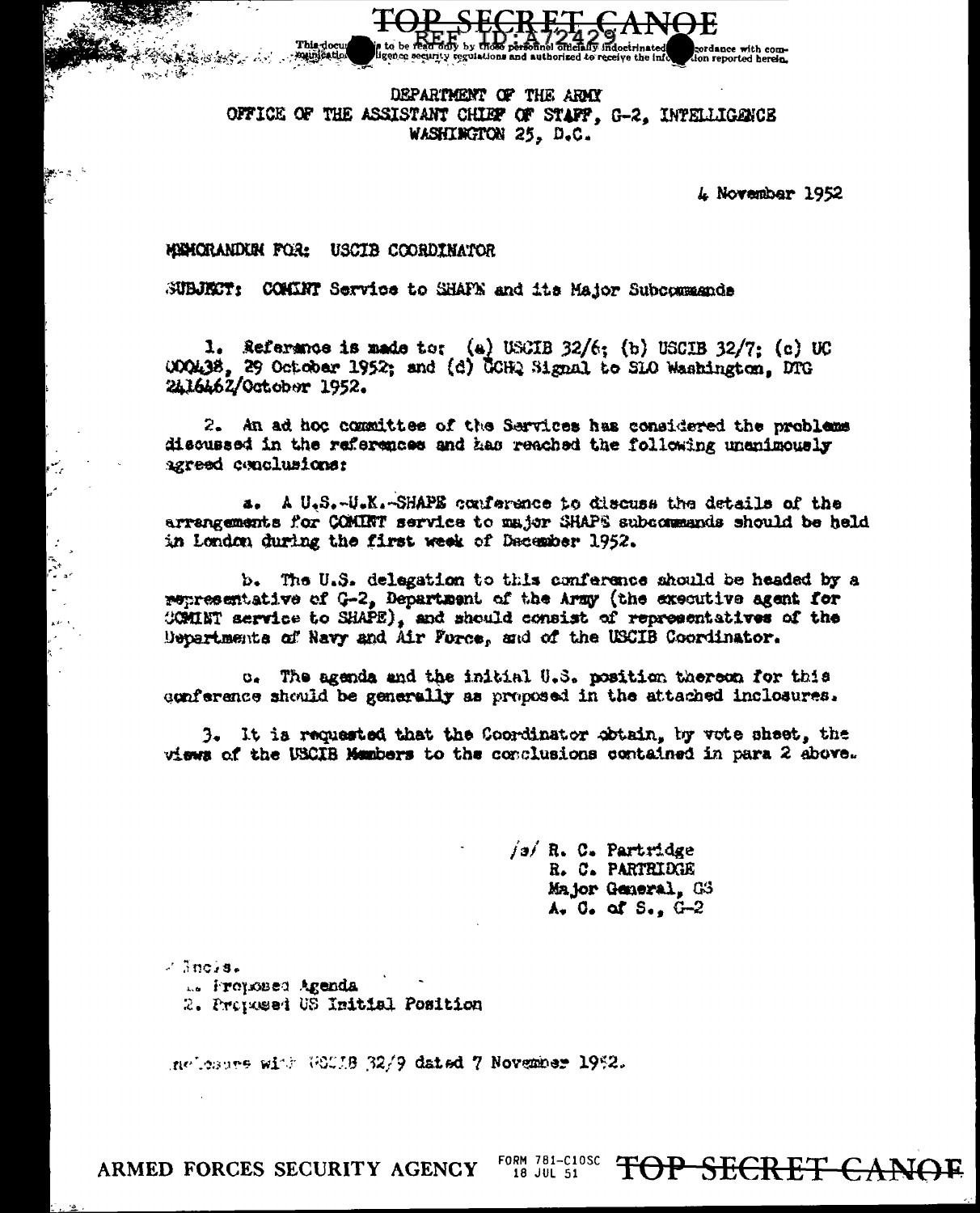DEPARTMENT OF THE ARMY OFFICE OF THE ASSISTANT CHIEF OF STAFF. G-2. INTELLIGENCE WASHINGTON 25. D.C.

ligence security regulations and authorized to

*L* November 1952

dance with com-

ion reported herein.

## MINORANDIN FOR: USCIB COORDINATOR

SUBJECT: COMENT Service to SHAPE and its Major Subcommande

1. Reference is made to: (a) USCIB  $32/6$ ; (b) USCIB  $32/7$ ; (c) UC 000438. 29 October 1952: and (d) COHQ Signal to SLO Washington, DTG 2416462/October 1952.

2. An ad hoc committee of the Services has considered the problems discussed in the references and has reached the following unanimously agreed conclusions:

a. A U.S.-U.K.-SHAPE conference to discuss the details of the arrangements for COMINT service to major SHAPS subcommands should be held in London during the first week of December 1952.

b. The U.S. delegation to this conference should be headed by a representative of G-2, Department of the Army (the executive agent for COMINT service to SHAPE), and should consist of representatives of the Departments of Navy and Air Force, and of the USCIB Coordinator.

o. The agenda and the initial U.S. position thereon for this conference should be generally as proposed in the attached inclosures.

3. It is requested that the Coordinator obtain, by vote sheet, the views of the USCIB Members to the conclusions contained in para 2 above.

> $j$ a $j$  R. C. Partridge R. C. PARTRIDGE Major General. GS  $A_{\nu}$  0. of  $S_{\nu}$ ,  $G_{\nu}$

 $\sim$  3nc/s. L. Proposed Agenda 2. Proposed US Initial Position

nelesses with WOULB 32/9 dated 7 November 1952.

ARMED FORCES SECURITY AGENCY

FORM 781-C10SC TOP SECRET CANOE 18 JUL 51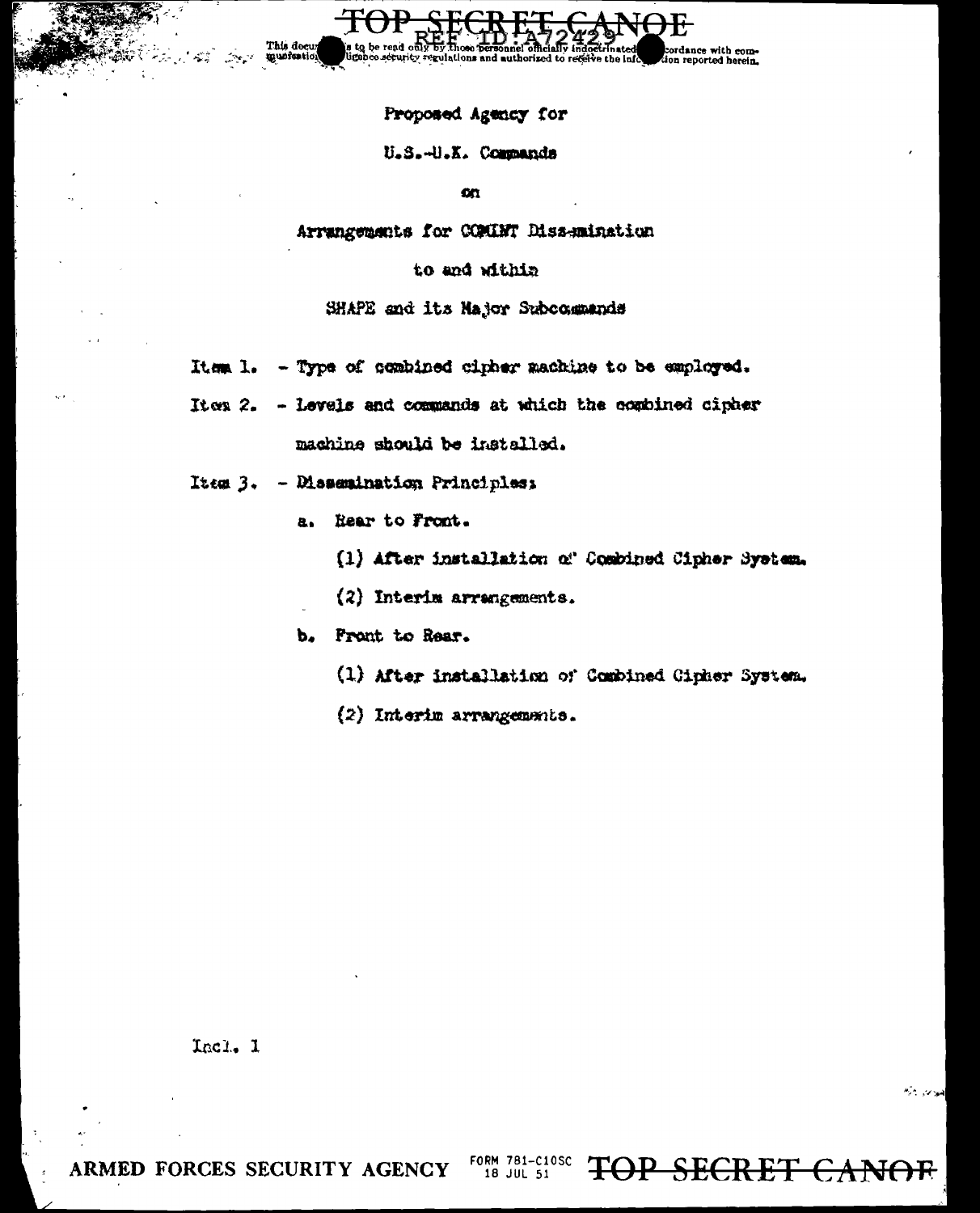Proposed Agency for

## U.S.-U.X. Commands

 $\alpha$ 

Arrangements for COMINT Dissemination

## to and within

SHAPE and its Najor Subcommands

- Item 1. Type of combined cipher machine to be employed.
- Ites 2. Levels and commands at which the combined cipher machine should be installed.
- Item 3. Dissemination Principles:
	- Rear to Front.  $\mathbf{a}$ 
		- (1) After installation of Combined Cipher System.
		- (2) Interim arrangements.

b. Front to Rear.

- (1) After installation of Combined Cipher System.
- (2) Interim arrangements.

Incl. 1

فلوان بالراا

ARMED FORCES SECURITY AGENCY

FORM 781-C10SC OP SECRET CANOR 18 JUL 51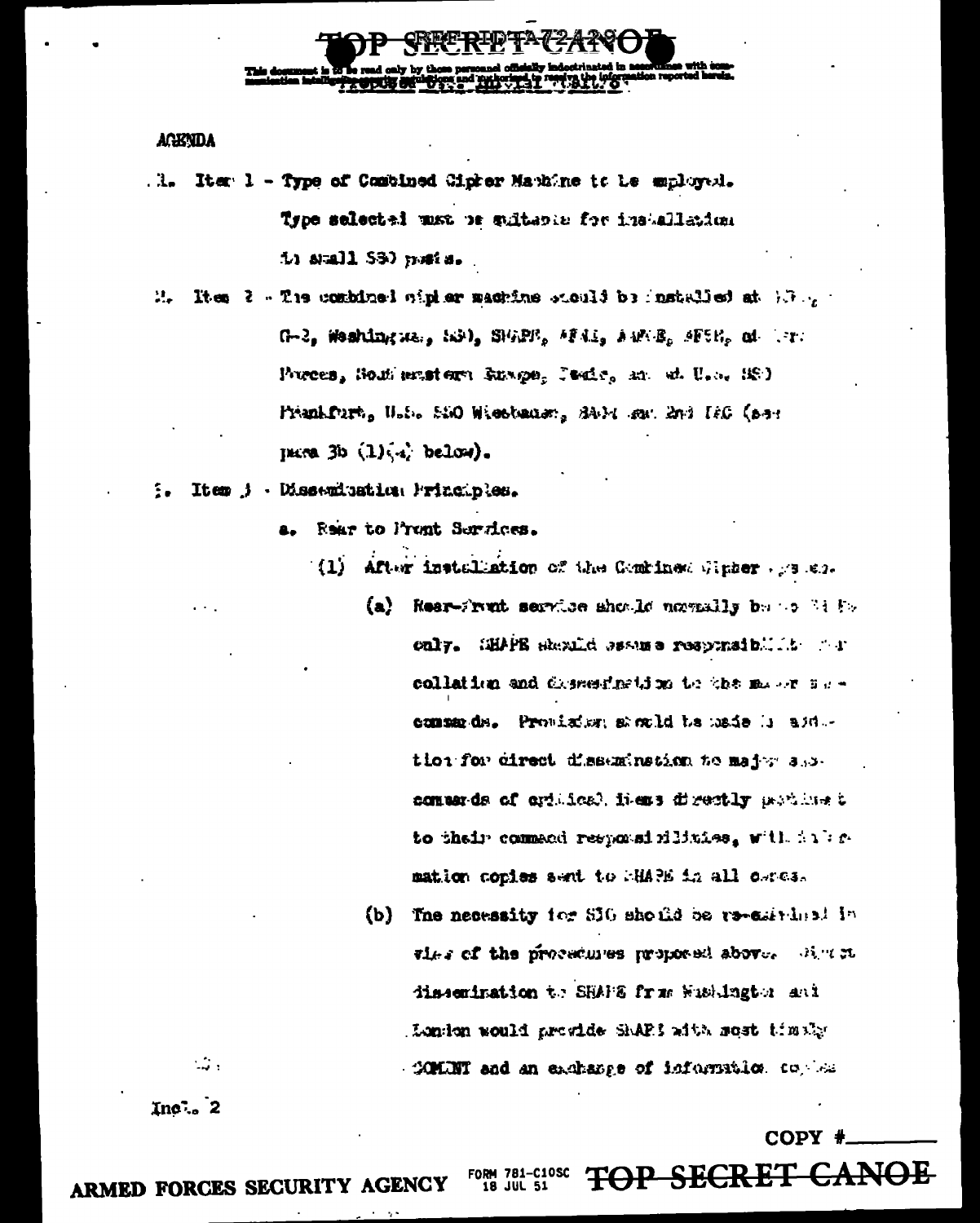

**AGENDA** 

- Iter 1 Type of Combined Cicker Manhine to be encloyed. . 1. Type selected max be sultance for installation  $11$  anall  $531$  must a.
- It et  $i = 1$  . The combined wipher macrime stould be installed at  $\{x_i\}$  $\mathbf{a}$ G-2, Meshington, S3), S162E, AFAI, AMAE, AF5E, at AT. Powces, Southerstern Runge, Pacif, an at U.S. (S) Prenkfurt, U.S. São Wiestener, SAM sur End IEG (ser pare  $3b(1)(4)$  below).

Item j - Dissemination Frinciples.

a. Rear to Pront Services.

- (1) After installation of the Gentines Winter  $\cdots$  see.
	- (a) Resr-Frant service should nomedly be to below only. SHAPE skexfid sesues responsibility of r collation and dismediation to the mass sucommends. Provision sacked to made is addtion for cirect dissumination to major and conser-ds of cytiles), hiers directly prodinet to their command responsibilities, will intermation copies sent to MMA in all ceres.
	- (b) The necessity for SIG should be re-emirinal in thes of the procedures proposed above. Where dissemination to SHAPE from Wisdington and London would provide SAPS with most timely -COMINT and an exchange of information to  $\sim$

 $In<sub>0</sub>$  2

 $\sim$   $\sim$ 

COPY #

OP SECRET

ARMED FORCES SECURITY AGENCY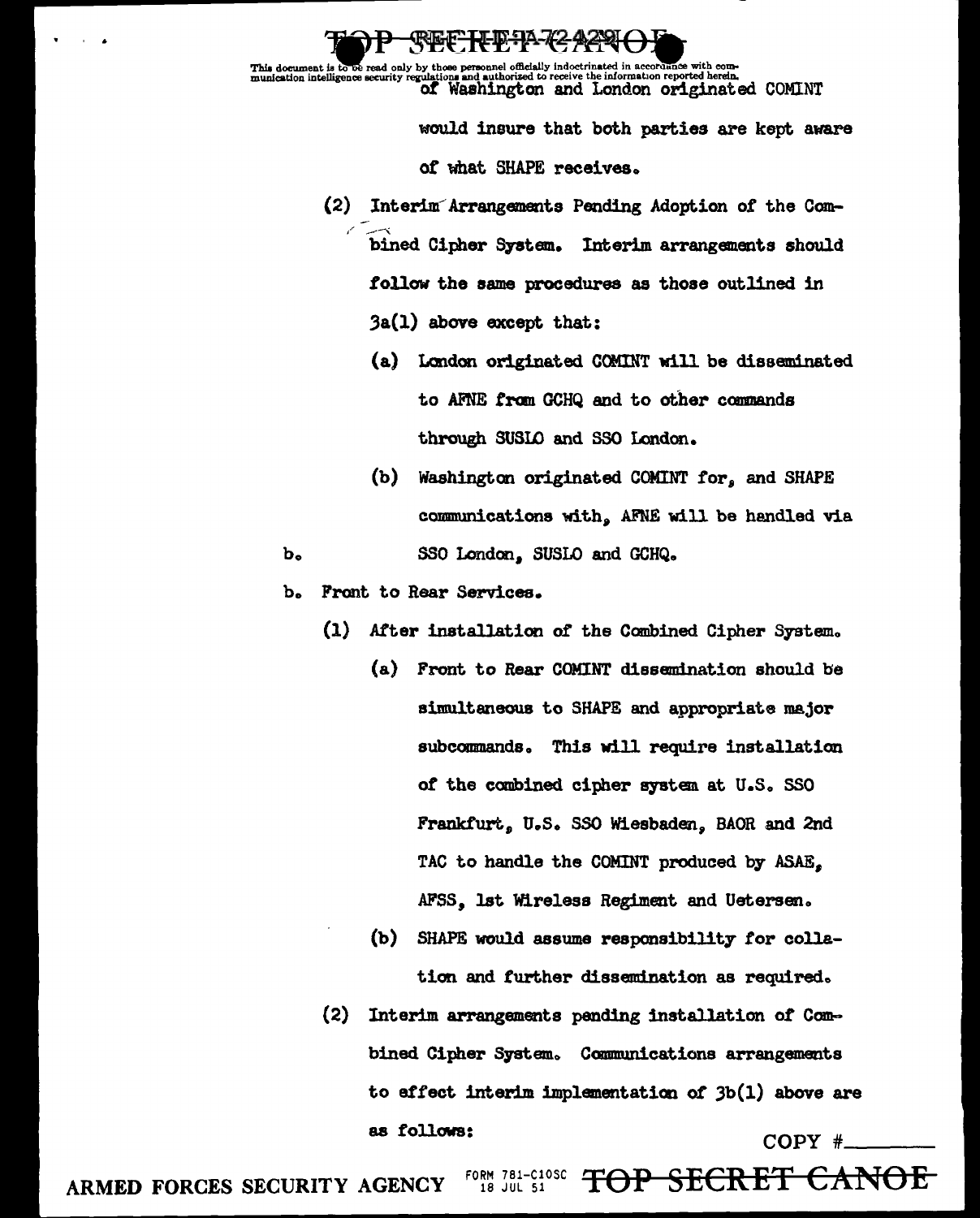This document is to be read only by those personnel officially indoctrinated in accordance with com-<br>munication intelligence security regulations and authorized to receive the information reported herein.<br>Of WAShington and

**CREF-H-D-1A-42-429** 

would insure that both parties are kept aware of what SHAPE receives.

- (2) Interim Arrangements Pending Adoption of the Combined Cipher System. Interim arrangements should follow the same procedures as those outlined in  $3a(1)$  above except that:
	- (a) London originated COMINT will be disseminated to AFNE from GCHQ and to other commands through SUSLO and SSO London.
	- (b) Washington originated COMINT for, and SHAPE communications with, AFNE will be handled via

 $\mathbf{b}$ 

 $\mathbf{b}_{\bullet}$ Front to Rear Services.

(1) After installation of the Combined Cipher System.

SSO London, SUSLO and GCHQ.

- (a) Front to Rear COMINT dissemination should be simultaneous to SHAPE and appropriate major subcommands. This will require installation of the combined cipher system at U.S. SSO Frankfurt, U.S. SSO Wiesbaden. BAOR and 2nd TAC to handle the COMINT produced by ASAE. AFSS. 1st Wireless Regiment and Uetersen.
- (b) SHAPE would assume responsibility for collation and further dissemination as required.
- (2) Interim arrangements pending installation of Combined Cipher System. Communications arrangements to effect interim implementation of  $3b(1)$  above are as follows:  $COPY$   $#$

FORM 781-C10SC<br>18 JUL 51 TOP SECRET CANOE ARMED FORCES SECURITY AGENCY